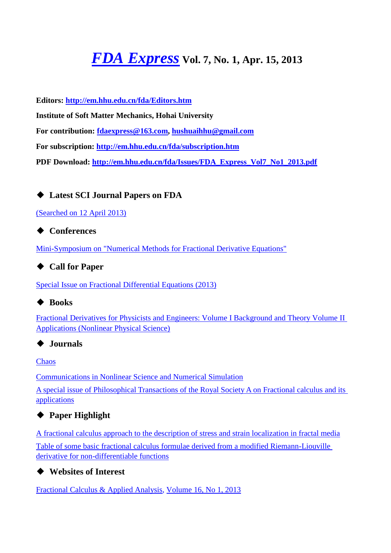# *[FDA Express](http://em.hhu.edu.cn/fda/index.htm)* **Vol. 7, No. 1, Apr. 15, 2013**

**Editors:<http://em.hhu.edu.cn/fda/Editors.htm>**

**Institute of Soft Matter Mechanics, Hohai University**

**For contribution: [fdaexpress@163.com,](mailto:fdaexpress@163.com) [hushuaihhu@gmail.com](mailto:fdaexpress@hhu.edu.cn)**

**For subscription:<http://em.hhu.edu.cn/fda/subscription.htm>**

**PDF Download: [http://em.hhu.edu.cn/fda/Issues/FDA\\_Express\\_Vol7\\_No1\\_2013.pdf](http://em.hhu.edu.cn/fda/Issues/FDA_Express_Vol7_No1_2013.pdf)**

# ◆ **Latest SCI Journal Papers on FDA**

[\(Searched on 12](file:///C:/Users/SHUAI/AppData/Local/Microsoft/Windows/Temporary%20Internet%20Files/FrontPageTempDir/pvw5.htm%23(Searched%20on%2011%20April%202013)) April 2013)

# ◆ **Conferences**

[Mini-Symposium on "Numerical Methods for Fractional Derivative Equations"](file:///C:/Users/SHUAI/AppData/Local/Microsoft/Windows/Temporary%20Internet%20Files/FrontPageTempDir/pvw5.htm%23Mini-Symposium%20on%20Numerical%20Methods%20for%20Fractional%20Derivative%20Equations)

# ◆ **Call for Paper**

[Special Issue on Fractional Differential Equations \(2013\)](file:///C:/Users/SHUAI/AppData/Local/Microsoft/Windows/Temporary%20Internet%20Files/FrontPageTempDir/pvw5.htm%23Special%20Issue%20on%20Fractional%20Differential%20Equations%20(2013))

# ◆ **Books**

[Fractional Derivatives for Physicists and Engineers: Volume I Background and Theory Volume II](file:///C:/Users/SHUAI/AppData/Local/Microsoft/Windows/Temporary%20Internet%20Files/FrontPageTempDir/pvw5.htm%23Fractional%20Derivatives%20for%20Physicists%20and%20Engineers:%20Volume%20I%20Background%20and%20Theory%20Volume%20II%20Applications%20(Nonlinear%20Physical%20Science))  [Applications \(Nonlinear Physical Science\)](file:///C:/Users/SHUAI/AppData/Local/Microsoft/Windows/Temporary%20Internet%20Files/FrontPageTempDir/pvw5.htm%23Fractional%20Derivatives%20for%20Physicists%20and%20Engineers:%20Volume%20I%20Background%20and%20Theory%20Volume%20II%20Applications%20(Nonlinear%20Physical%20Science))

# ◆ **Journals**

**[Chaos](file:///C:/Users/SHUAI/AppData/Local/Microsoft/Windows/Temporary%20Internet%20Files/FrontPageTempDir/pvw3.htm%23Communications%20in%20Nonlinear%20Science%20and%20Numerical%20Simulation)** 

[Communications in Nonlinear Science and Numerical Simulation](file:///C:/Users/SHUAI/AppData/Local/Microsoft/Windows/Temporary%20Internet%20Files/FrontPageTempDir/pvw3.htm%23Communications%20in%20Nonlinear%20Science%20and%20Numerical%20Simulation)

[A special issue of Philosophical Transactions of the Royal Society A on Fractional calculus and its](file:///C:/Users/SHUAI/AppData/Local/Microsoft/Windows/Temporary%20Internet%20Files/FrontPageTempDir/pvw1.htm%23Fractional%20calculus%20and%20its%20applications)  [applications](file:///C:/Users/SHUAI/AppData/Local/Microsoft/Windows/Temporary%20Internet%20Files/FrontPageTempDir/pvw1.htm%23Fractional%20calculus%20and%20its%20applications)

# ◆ **Paper Highlight**

[A fractional calculus approach to the description of stress and strain localization in fractal media](file:///C:/Users/SHUAI/AppData/Local/Microsoft/Windows/Temporary%20Internet%20Files/FrontPageTempDir/pvw5.htm%23A%20fractional%20calculus%20approach%20to%20the%20description%20of%20stress%20and%20strain%20localization%20in%20fractal%20media) [Table of some basic fractional calculus formulae derived from a modified Riemann-Liouville](file:///C:/Users/SHUAI/AppData/Local/Microsoft/Windows/Temporary%20Internet%20Files/FrontPageTempDir/pvw5.htm%23Table%20of%20some%20basic%20fractional%20calculus%20formulae%20derived%20from%20a%20modified%20Riemann-Liouville%20derivative%20for%20non-differentiable%20functions)  [derivative for non-differentiable functions](file:///C:/Users/SHUAI/AppData/Local/Microsoft/Windows/Temporary%20Internet%20Files/FrontPageTempDir/pvw5.htm%23Table%20of%20some%20basic%20fractional%20calculus%20formulae%20derived%20from%20a%20modified%20Riemann-Liouville%20derivative%20for%20non-differentiable%20functions)

◆ **Websites of Interest**

[Fractional Calculus & Applied Analysis,](http://www.math.bas.bg/~fcaa/) [Volume 16, No 1, 2013](http://www.math.bas.bg/~fcaa/)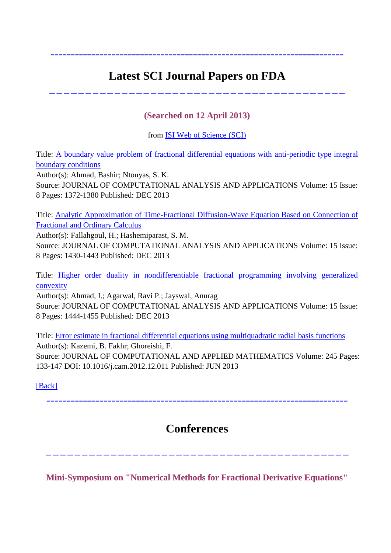# **Latest SCI Journal Papers on FDA**

========================================================================

-----------------------------------------

# **(Searched on 12 April 2013)**

from [ISI Web of Science \(SCI\)](http://apps.webofknowledge.com/summary.do?product=UA&search_mode=GeneralSearch&qid=1&SID=2C83Gjo1aiOCi17iAGK&&page=1)

Title: [A boundary value problem of fractional differential equations with anti-periodic type integral](http://apps.webofknowledge.com/full_record.do?product=UA&search_mode=GeneralSearch&qid=1&SID=Q1nJHED@lfAEHFgLGh2&page=1&doc=1)  [boundary conditions](http://apps.webofknowledge.com/full_record.do?product=UA&search_mode=GeneralSearch&qid=1&SID=Q1nJHED@lfAEHFgLGh2&page=1&doc=1) Author(s): Ahmad, Bashir; Ntouyas, S. K.

Source: JOURNAL OF COMPUTATIONAL ANALYSIS AND APPLICATIONS Volume: 15 Issue: 8 Pages: 1372-1380 Published: DEC 2013

Title: [Analytic Approximation of Time-Fractional Diffusion-Wave Equation Based on Connection of](http://apps.webofknowledge.com/full_record.do?product=UA&search_mode=GeneralSearch&qid=1&SID=Q1nJHED@lfAEHFgLGh2&page=1&doc=2)  [Fractional and Ordinary Calculus](http://apps.webofknowledge.com/full_record.do?product=UA&search_mode=GeneralSearch&qid=1&SID=Q1nJHED@lfAEHFgLGh2&page=1&doc=2)

Author(s): Fallahgoul, H.; Hashemiparast, S. M. Source: JOURNAL OF COMPUTATIONAL ANALYSIS AND APPLICATIONS Volume: 15 Issue: 8 Pages: 1430-1443 Published: DEC 2013

Title: [Higher order duality in nondifferentiable fractional programming involving generalized](http://apps.webofknowledge.com/full_record.do?product=UA&search_mode=GeneralSearch&qid=1&SID=Q1nJHED@lfAEHFgLGh2&page=1&doc=3)  [convexity](http://apps.webofknowledge.com/full_record.do?product=UA&search_mode=GeneralSearch&qid=1&SID=Q1nJHED@lfAEHFgLGh2&page=1&doc=3)

Author(s): Ahmad, I.; Agarwal, Ravi P.; Jayswal, Anurag Source: JOURNAL OF COMPUTATIONAL ANALYSIS AND APPLICATIONS Volume: 15 Issue: 8 Pages: 1444-1455 Published: DEC 2013

Title: [Error estimate in fractional differential equations using multiquadratic radial basis functions](http://apps.webofknowledge.com/full_record.do?product=UA&search_mode=GeneralSearch&qid=1&SID=Q1nJHED@lfAEHFgLGh2&page=1&doc=9) Author(s): Kazemi, B. Fakhr; Ghoreishi, F. Source: JOURNAL OF COMPUTATIONAL AND APPLIED MATHEMATICS Volume: 245 Pages: 133-147 DOI: 10.1016/j.cam.2012.12.011 Published: JUN 2013

[\[Back\]](file:///C:/Users/SHUAI/AppData/Local/Microsoft/Windows/Temporary%20Internet%20Files/FrontPageTempDir/pvw5.htm%231)

# **Conferences**

==========================================================================

------------------------------------------

**Mini-Symposium on "Numerical Methods for Fractional Derivative Equations"**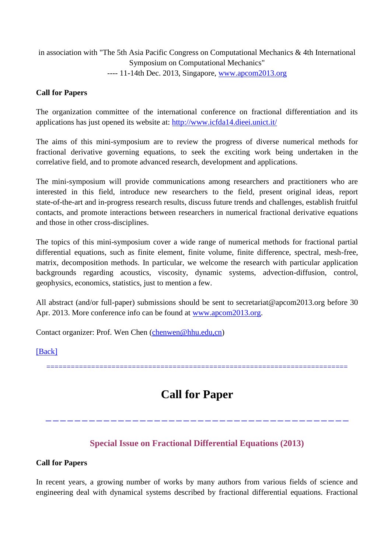in association with "The 5th Asia Pacific Congress on Computational Mechanics & 4th International Symposium on Computational Mechanics" ---- 11-14th Dec. 2013, Singapore, [www.apcom2013.org](http://www.apcom2013.org/)

### **Call for Papers**

The organization committee of the international conference on fractional differentiation and its applications has just opened its website at:<http://www.icfda14.dieei.unict.it/>

The aims of this mini-symposium are to review the progress of diverse numerical methods for fractional derivative governing equations, to seek the exciting work being undertaken in the correlative field, and to promote advanced research, development and applications.

The mini-symposium will provide communications among researchers and practitioners who are interested in this field, introduce new researchers to the field, present original ideas, report state-of-the-art and in-progress research results, discuss future trends and challenges, establish fruitful contacts, and promote interactions between researchers in numerical fractional derivative equations and those in other cross-disciplines.

The topics of this mini-symposium cover a wide range of numerical methods for fractional partial differential equations, such as finite element, finite volume, finite difference, spectral, mesh-free, matrix, decomposition methods. In particular, we welcome the research with particular application backgrounds regarding acoustics, viscosity, dynamic systems, advection-diffusion, control, geophysics, economics, statistics, just to mention a few.

All abstract (and/or full-paper) submissions should be sent to secretariat@apcom2013.org before 30 Apr. 2013. More conference info can be found at [www.apcom2013.org.](http://www.apcom2013.org/)

Contact organizer: Prof. Wen Chen [\(chenwen@hhu.edu,cn\)](mailto:chenwen@hhu.edu,cn)

### [\[Back\]](file:///C:/Users/SHUAI/AppData/Local/Microsoft/Windows/Temporary%20Internet%20Files/FrontPageTempDir/pvw5.htm%231)

==========================================================================

# **Call for Paper**

------------------------------------------

## **Special Issue on Fractional Differential Equations (2013)**

### **Call for Papers**

In recent years, a growing number of works by many authors from various fields of science and engineering deal with dynamical systems described by fractional differential equations. Fractional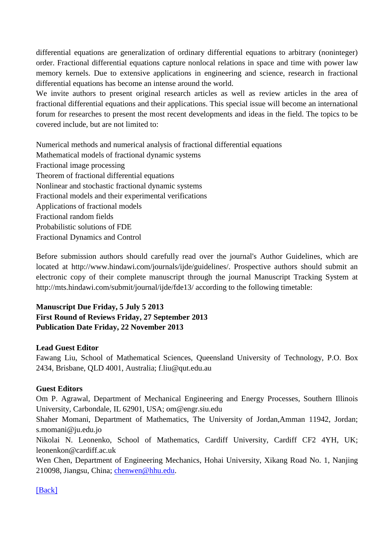differential equations are generalization of ordinary differential equations to arbitrary (noninteger) order. Fractional differential equations capture nonlocal relations in space and time with power law memory kernels. Due to extensive applications in engineering and science, research in fractional differential equations has become an intense around the world.

We invite authors to present original research articles as well as review articles in the area of fractional differential equations and their applications. This special issue will become an international forum for researches to present the most recent developments and ideas in the field. The topics to be covered include, but are not limited to:

Numerical methods and numerical analysis of fractional differential equations Mathematical models of fractional dynamic systems Fractional image processing Theorem of fractional differential equations Nonlinear and stochastic fractional dynamic systems Fractional models and their experimental verifications Applications of fractional models Fractional random fields Probabilistic solutions of FDE Fractional Dynamics and Control

Before submission authors should carefully read over the journal's Author Guidelines, which are located at http://www.hindawi.com/journals/ijde/guidelines/. Prospective authors should submit an electronic copy of their complete manuscript through the journal Manuscript Tracking System at http://mts.hindawi.com/submit/journal/ijde/fde13/ according to the following timetable:

### **Manuscript Due Friday, 5 July 5 2013 First Round of Reviews Friday, 27 September 2013 Publication Date Friday, 22 November 2013**

### **Lead Guest Editor**

Fawang Liu, School of Mathematical Sciences, Queensland University of Technology, P.O. Box 2434, Brisbane, QLD 4001, Australia; f.liu@qut.edu.au

### **Guest Editors**

Om P. Agrawal, Department of Mechanical Engineering and Energy Processes, Southern Illinois University, Carbondale, IL 62901, USA; om@engr.siu.edu

Shaher Momani, Department of Mathematics, The University of Jordan,Amman 11942, Jordan; s.momani@ju.edu.jo

Nikolai N. Leonenko, School of Mathematics, Cardiff University, Cardiff CF2 4YH, UK; leonenkon@cardiff.ac.uk

Wen Chen, Department of Engineering Mechanics, Hohai University, Xikang Road No. 1, Nanjing 210098, Jiangsu, China; [chenwen@hhu.edu.](mailto:chenwen@hhu.edu)

### [\[Back\]](file:///C:/Users/SHUAI/AppData/Local/Microsoft/Windows/Temporary%20Internet%20Files/FrontPageTempDir/pvw5.htm%231)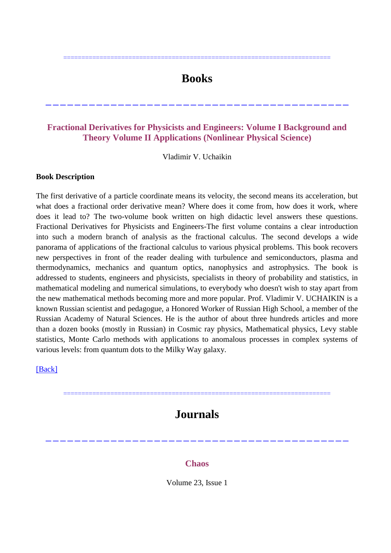# **Books**

==========================================================================

## **Fractional Derivatives for Physicists and Engineers: Volume I Background and Theory Volume II Applications (Nonlinear Physical Science)**

------------------------------------------

Vladimir V. Uchaikin

#### **Book Description**

The first derivative of a particle coordinate means its velocity, the second means its acceleration, but what does a fractional order derivative mean? Where does it come from, how does it work, where does it lead to? The two-volume book written on high didactic level answers these questions. Fractional Derivatives for Physicists and Engineers-The first volume contains a clear introduction into such a modern branch of analysis as the fractional calculus. The second develops a wide panorama of applications of the fractional calculus to various physical problems. This book recovers new perspectives in front of the reader dealing with turbulence and semiconductors, plasma and thermodynamics, mechanics and quantum optics, nanophysics and astrophysics. The book is addressed to students, engineers and physicists, specialists in theory of probability and statistics, in mathematical modeling and numerical simulations, to everybody who doesn't wish to stay apart from the new mathematical methods becoming more and more popular. Prof. Vladimir V. UCHAIKIN is a known Russian scientist and pedagogue, a Honored Worker of Russian High School, a member of the Russian Academy of Natural Sciences. He is the author of about three hundreds articles and more than a dozen books (mostly in Russian) in Cosmic ray physics, Mathematical physics, Levy stable statistics, Monte Carlo methods with applications to anomalous processes in complex systems of various levels: from quantum dots to the Milky Way galaxy.

[\[Back\]](file:///C:/Users/SHUAI/AppData/Local/Microsoft/Windows/Temporary%20Internet%20Files/FrontPageTempDir/pvw5.htm%231)

# **Journals**

==========================================================================

### **Chaos**

------------------------------------------

Volume 23, Issue 1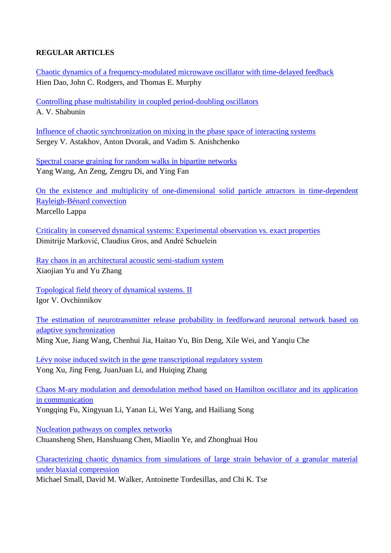### **REGULAR ARTICLES**

[Chaotic dynamics of a frequency-modulated microwave oscillator with time-delayed feedback](http://chaos.aip.org/resource/1/chaoeh/v23/i1/p013101_s1) Hien Dao, John C. Rodgers, and Thomas E. Murphy

[Controlling phase multistability in coupled period-doubling oscillators](http://chaos.aip.org/resource/1/chaoeh/v23/i1/p013102_s1) A. V. Shabunin

[Influence of chaotic synchronization on mixing in the phase space of interacting systems](http://chaos.aip.org/resource/1/chaoeh/v23/i1/p013103_s1) Sergey V. Astakhov, Anton Dvorak, and Vadim S. Anishchenko

[Spectral coarse graining for random walks in bipartite networks](http://chaos.aip.org/resource/1/chaoeh/v23/i1/p013104_s1) Yang Wang, An Zeng, Zengru Di, and Ying Fan

[On the existence and multiplicity of one-dimensional solid particle attractors in time-dependent](http://chaos.aip.org/resource/1/chaoeh/v23/i1/p013105_s1)  [Rayleigh-Bénard convection](http://chaos.aip.org/resource/1/chaoeh/v23/i1/p013105_s1) Marcello Lappa

[Criticality in conserved dynamical systems: Experimental observation vs. exact properties](http://chaos.aip.org/resource/1/chaoeh/v23/i1/p013106_s1) Dimitrije Marković, Claudius Gros, and André Schuelein

[Ray chaos in an architectural acoustic semi-stadium system](http://chaos.aip.org/resource/1/chaoeh/v23/i1/p013107_s1) Xiaojian Yu and Yu Zhang

[Topological field theory of dynamical systems. II](http://chaos.aip.org/resource/1/chaoeh/v23/i1/p013108_s1) Igor V. Ovchinnikov

[The estimation of neurotransmitter release probability in feedforward neuronal network based on](http://chaos.aip.org/resource/1/chaoeh/v23/i1/p013109_s1)  [adaptive synchronization](http://chaos.aip.org/resource/1/chaoeh/v23/i1/p013109_s1) Ming Xue, Jiang Wang, Chenhui Jia, Haitao Yu, Bin Deng, Xile Wei, and Yanqiu Che

[Lévy noise induced switch in the gene transcriptional regulatory system](http://chaos.aip.org/resource/1/chaoeh/v23/i1/p013110_s1) Yong Xu, Jing Feng, JuanJuan Li, and Huiqing Zhang

[Chaos M-ary modulation and demodulation method based on Hamilton oscillator and its application](http://chaos.aip.org/resource/1/chaoeh/v23/i1/p013111_s1)  [in communication](http://chaos.aip.org/resource/1/chaoeh/v23/i1/p013111_s1)

Yongqing Fu, Xingyuan Li, Yanan Li, Wei Yang, and Hailiang Song

[Nucleation pathways on complex networks](http://chaos.aip.org/resource/1/chaoeh/v23/i1/p013112_s1) Chuansheng Shen, Hanshuang Chen, Miaolin Ye, and Zhonghuai Hou

[Characterizing chaotic dynamics from simulations of large strain behavior of a granular material](http://chaos.aip.org/resource/1/chaoeh/v23/i1/p013113_s1)  [under biaxial compression](http://chaos.aip.org/resource/1/chaoeh/v23/i1/p013113_s1)

Michael Small, David M. Walker, Antoinette Tordesillas, and Chi K. Tse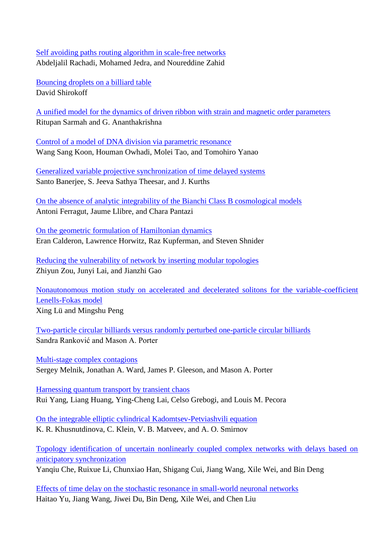### [Self avoiding paths routing algorithm in scale-free networks](http://chaos.aip.org/resource/1/chaoeh/v23/i1/p013114_s1) Abdeljalil Rachadi, Mohamed Jedra, and Noureddine Zahid

[Bouncing droplets on a billiard table](http://chaos.aip.org/resource/1/chaoeh/v23/i1/p013115_s1) David Shirokoff

[A unified model for the dynamics of driven ribbon with strain and magnetic order parameters](http://chaos.aip.org/resource/1/chaoeh/v23/i1/p013116_s1) Ritupan Sarmah and G. Ananthakrishna

[Control of a model of DNA division via parametric resonance](http://chaos.aip.org/resource/1/chaoeh/v23/i1/p013117_s1) Wang Sang Koon, Houman Owhadi, Molei Tao, and Tomohiro Yanao

[Generalized variable projective synchronization of time delayed systems](http://chaos.aip.org/resource/1/chaoeh/v23/i1/p013118_s1) Santo Banerjee, S. Jeeva Sathya Theesar, and J. Kurths

[On the absence of analytic integrability of the Bianchi](http://chaos.aip.org/resource/1/chaoeh/v23/i1/p013119_s1) Class B cosmological models Antoni Ferragut, Jaume Llibre, and Chara Pantazi

[On the geometric formulation of Hamiltonian dynamics](http://chaos.aip.org/resource/1/chaoeh/v23/i1/p013120_s1) Eran Calderon, Lawrence Horwitz, Raz Kupferman, and Steven Shnider

[Reducing the vulnerability of network by inserting modular topologies](http://chaos.aip.org/resource/1/chaoeh/v23/i1/p013121_s1) Zhiyun Zou, Junyi Lai, and Jianzhi Gao

[Nonautonomous motion study on accelerated and decelerated solitons for the variable-coefficient](http://chaos.aip.org/resource/1/chaoeh/v23/i1/p013122_s1)  [Lenells-Fokas model](http://chaos.aip.org/resource/1/chaoeh/v23/i1/p013122_s1) Xing Lü and Mingshu Peng

[Two-particle circular billiards versus randomly perturbed one-particle circular billiards](http://chaos.aip.org/resource/1/chaoeh/v23/i1/p013123_s1) Sandra Ranković and Mason A. Porter

[Multi-stage complex contagions](http://chaos.aip.org/resource/1/chaoeh/v23/i1/p013124_s1) Sergey Melnik, Jonathan A. Ward, James P. Gleeson, and Mason A. Porter

[Harnessing quantum transport by transient chaos](http://chaos.aip.org/resource/1/chaoeh/v23/i1/p013125_s1) Rui Yang, Liang Huang, Ying-Cheng Lai, Celso Grebogi, and Louis M. Pecora

[On the integrable elliptic cylindrical Kadomtsev-Petviashvili equation](http://chaos.aip.org/resource/1/chaoeh/v23/i1/p013126_s1) K. R. Khusnutdinova, C. Klein, V. B. Matveev, and A. O. Smirnov

[Topology identification of uncertain nonlinearly coupled complex networks with delays based on](http://chaos.aip.org/resource/1/chaoeh/v23/i1/p013127_s1)  [anticipatory synchronization](http://chaos.aip.org/resource/1/chaoeh/v23/i1/p013127_s1)

Yanqiu Che, Ruixue Li, Chunxiao Han, Shigang Cui, Jiang Wang, Xile Wei, and Bin Deng

[Effects of time delay on the stochastic resonance in small-world neuronal networks](http://chaos.aip.org/resource/1/chaoeh/v23/i1/p013128_s1) Haitao Yu, Jiang Wang, Jiwei Du, Bin Deng, Xile Wei, and Chen Liu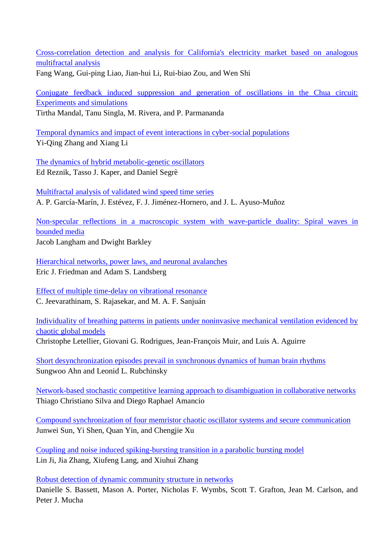Cross-correlation detection [and analysis for California's electricity market based on analogous](http://chaos.aip.org/resource/1/chaoeh/v23/i1/p013129_s1)  [multifractal analysis](http://chaos.aip.org/resource/1/chaoeh/v23/i1/p013129_s1) Fang Wang, Gui-ping Liao, Jian-hui Li, Rui-biao Zou, and Wen Shi

[Conjugate feedback induced suppression and generation of oscillations in the Chua circuit:](http://chaos.aip.org/resource/1/chaoeh/v23/i1/p013130_s1)  [Experiments and simulations](http://chaos.aip.org/resource/1/chaoeh/v23/i1/p013130_s1) Tirtha Mandal, Tanu Singla, M. Rivera, and P. Parmananda

[Temporal dynamics and impact of event interactions in cyber-social populations](http://chaos.aip.org/resource/1/chaoeh/v23/i1/p013131_s1) Yi-Qing Zhang and Xiang Li

[The dynamics of hybrid metabolic-genetic oscillators](http://chaos.aip.org/resource/1/chaoeh/v23/i1/p013132_s1) Ed Reznik, Tasso J. Kaper, and Daniel Segrè

[Multifractal analysis of validated wind speed time series](http://chaos.aip.org/resource/1/chaoeh/v23/i1/p013133_s1) A. P. García-Marín, J. Estévez, F. J. Jiménez-Hornero, and J. L. Ayuso-Muñoz

[Non-specular reflections in a macroscopic system with wave-particle duality: Spiral waves in](http://chaos.aip.org/resource/1/chaoeh/v23/i1/p013134_s1)  [bounded media](http://chaos.aip.org/resource/1/chaoeh/v23/i1/p013134_s1) Jacob Langham and Dwight Barkley

[Hierarchical networks, power laws, and neuronal avalanches](http://chaos.aip.org/resource/1/chaoeh/v23/i1/p013135_s1) Eric J. Friedman and Adam S. Landsberg

[Effect of multiple time-delay on vibrational resonance](http://chaos.aip.org/resource/1/chaoeh/v23/i1/p013136_s1) C. Jeevarathinam, S. Rajasekar, and M. A. F. Sanjuán

[Individuality of breathing patterns in patients under noninvasive mechanical ventilation evidenced by](http://chaos.aip.org/resource/1/chaoeh/v23/i1/p013137_s1)  [chaotic global models](http://chaos.aip.org/resource/1/chaoeh/v23/i1/p013137_s1) Christophe Letellier, Giovani G. Rodrigues, Jean-François Muir, and Luis A. Aguirre

[Short desynchronization episodes prevail in synchronous dynamics of human brain rhythms](http://chaos.aip.org/resource/1/chaoeh/v23/i1/p013138_s1) Sungwoo Ahn and Leonid L. Rubchinsky

[Network-based stochastic competitive learning approach to disambiguation in collaborative networks](http://chaos.aip.org/resource/1/chaoeh/v23/i1/p013139_s1) Thiago Christiano Silva and Diego Raphael Amancio

[Compound synchronization of four memristor chaotic oscillator systems and secure communication](http://chaos.aip.org/resource/1/chaoeh/v23/i1/p013140_s1) Junwei Sun, Yi Shen, Quan Yin, and Chengjie Xu

[Coupling and noise induced spiking-bursting transition in a parabolic bursting model](http://chaos.aip.org/resource/1/chaoeh/v23/i1/p013141_s1) Lin Ji, Jia Zhang, Xiufeng Lang, and Xiuhui Zhang

[Robust detection of dynamic community structure in networks](http://chaos.aip.org/resource/1/chaoeh/v23/i1/p013142_s1)

Danielle S. Bassett, Mason A. Porter, Nicholas F. Wymbs, Scott T. Grafton, Jean M. Carlson, and Peter J. Mucha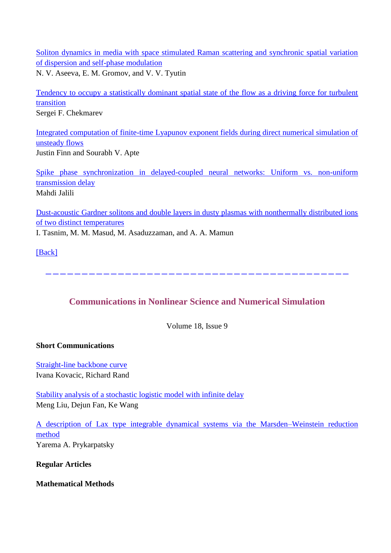[Soliton dynamics in media with space stimulated Raman scattering and synchronic spatial variation](http://chaos.aip.org/resource/1/chaoeh/v23/i1/p013143_s1)  [of dispersion and self-phase modulation](http://chaos.aip.org/resource/1/chaoeh/v23/i1/p013143_s1) N. V. Aseeva, E. M. Gromov, and V. V. Tyutin

[Tendency to occupy a statistically dominant spatial state of the flow as a driving force for turbulent](http://chaos.aip.org/resource/1/chaoeh/v23/i1/p013144_s1)  [transition](http://chaos.aip.org/resource/1/chaoeh/v23/i1/p013144_s1) Sergei F. Chekmarev

[Integrated computation of finite-time Lyapunov exponent fields during direct numerical simulation of](http://chaos.aip.org/resource/1/chaoeh/v23/i1/p013145_s1)  [unsteady flows](http://chaos.aip.org/resource/1/chaoeh/v23/i1/p013145_s1) Justin Finn and Sourabh V. Apte

[Spike phase synchronization in delayed-coupled neural networks: Uniform vs. non-uniform](http://chaos.aip.org/resource/1/chaoeh/v23/i1/p013146_s1)  [transmission delay](http://chaos.aip.org/resource/1/chaoeh/v23/i1/p013146_s1) Mahdi Jalili

[Dust-acoustic Gardner solitons and double layers in dusty plasmas with nonthermally distributed ions](http://chaos.aip.org/resource/1/chaoeh/v23/i1/p013147_s1)  [of two distinct temperatures](http://chaos.aip.org/resource/1/chaoeh/v23/i1/p013147_s1) I. Tasnim, M. M. Masud, M. Asaduzzaman, and A. A. Mamun

[\[Back\]](file:///C:/Users/SHUAI/AppData/Local/Microsoft/Windows/Temporary%20Internet%20Files/FrontPageTempDir/pvw5.htm%231)

**Communications in Nonlinear Science and Numerical Simulation**

------------------------------------------

Volume 18, Issue 9

### **Short Communications**

[Straight-line backbone curve](http://www.sciencedirect.com/science/article/pii/S100757041200562X) Ivana Kovacic, Richard Rand

[Stability analysis of a stochastic logistic model with infinite delay](http://www.sciencedirect.com/science/article/pii/S1007570412005667) Meng Liu, Dejun Fan, Ke Wang

[A description of Lax type integrable dynamical systems via the Marsden–Weinstein reduction](http://www.sciencedirect.com/science/article/pii/S1007570413000361)  [method](http://www.sciencedirect.com/science/article/pii/S1007570413000361) Yarema A. Prykarpatsky

**Regular Articles**

**Mathematical Methods**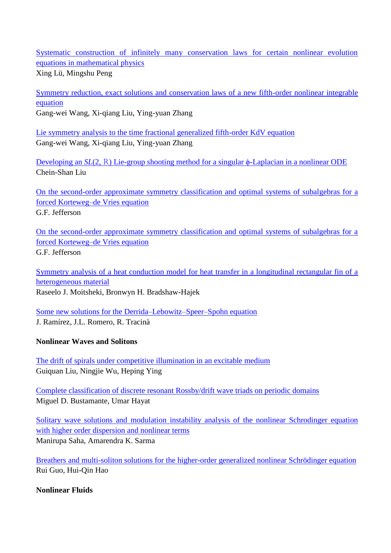[Systematic construction of infinitely many conservation laws for certain nonlinear evolution](http://www.sciencedirect.com/science/article/pii/S1007570412005072)  [equations in mathematical physics](http://www.sciencedirect.com/science/article/pii/S1007570412005072)

Xing Lü, Mingshu Peng

[Symmetry reduction, exact solutions and conservation laws of a new fifth-order nonlinear integrable](http://www.sciencedirect.com/science/article/pii/S1007570412005539)  [equation](http://www.sciencedirect.com/science/article/pii/S1007570412005539) Gang-wei Wang, Xi-qiang Liu, Ying-yuan Zhang

[Lie symmetry analysis to the time fractional generalized fifth-order KdV equation](http://www.sciencedirect.com/science/article/pii/S1007570412005643) Gang-wei Wang, Xi-qiang Liu, Ying-yuan Zhang

[Developing an](http://www.sciencedirect.com/science/article/pii/S100757041200576X) *SL*(2, R[\) Lie-group shooting method for a singular ϕ-Laplacian in a nonlinear ODE](http://www.sciencedirect.com/science/article/pii/S100757041200576X) Chein-Shan Liu

[On the second-order approximate symmetry classification and optimal systems of subalgebras for a](http://www.sciencedirect.com/science/article/pii/S1007570412005771)  [forced Korteweg–de Vries equation](http://www.sciencedirect.com/science/article/pii/S1007570412005771) G.F. Jefferson

[On the second-order approximate symmetry classification and optimal systems of subalgebras for a](http://www.sciencedirect.com/science/article/pii/S1007570412005771)  [forced Korteweg–de Vries equation](http://www.sciencedirect.com/science/article/pii/S1007570412005771) G.F. Jefferson

[Symmetry analysis of a heat conduction model for heat transfer in a longitudinal rectangular fin of a](http://www.sciencedirect.com/science/article/pii/S1007570413000063)  [heterogeneous material](http://www.sciencedirect.com/science/article/pii/S1007570413000063) Raseelo J. Moitsheki, Bronwyn H. Bradshaw-Hajek

[Some new solutions for the Derrida–Lebowitz–Speer–Spohn equation](http://www.sciencedirect.com/science/article/pii/S1007570413000294) J. Ram ŕez, J.L. Romero, R. Tracinà

### **Nonlinear Waves and Solitons**

[The drift of spirals under competitive illumination in an excitable medium](http://www.sciencedirect.com/science/article/pii/S1007570412005588) Guiquan Liu, Ningjie Wu, Heping Ying

[Complete classification of discrete resonant Rossby/drift wave triads on periodic domains](http://www.sciencedirect.com/science/article/pii/S1007570412005795) Miguel D. Bustamante, Umar Hayat

[Solitary wave solutions and modulation instability analysis of the nonlinear Schrodinger equation](http://www.sciencedirect.com/science/article/pii/S1007570412005837)  [with higher order dispersion and nonlinear terms](http://www.sciencedirect.com/science/article/pii/S1007570412005837) Manirupa Saha, Amarendra K. Sarma

[Breathers and multi-soliton solutions for the higher-order generalized nonlinear Schrödinger equation](http://www.sciencedirect.com/science/article/pii/S1007570413000610) Rui Guo, Hui-Qin Hao

### **Nonlinear Fluids**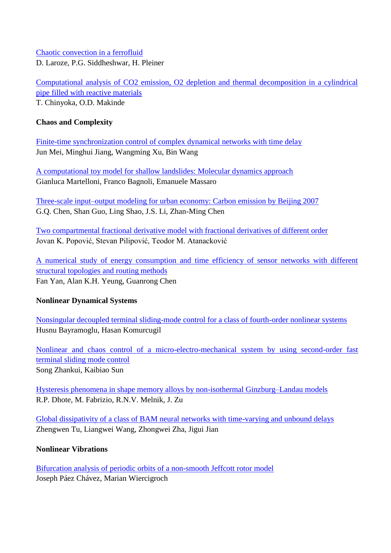[Chaotic convection in a ferrofluid](http://www.sciencedirect.com/science/article/pii/S1007570413000580) D. Laroze, P.G. Siddheshwar, H. Pleiner

[Computational analysis of CO2 emission, O2 depletion and thermal decomposition in a cylindrical](http://www.sciencedirect.com/science/article/pii/S1007570413000609)  [pipe filled with reactive materials](http://www.sciencedirect.com/science/article/pii/S1007570413000609) T. Chinyoka, O.D. Makinde

### **Chaos and Complexity**

[Finite-time synchronization control of complex dynamical networks with time delay](http://www.sciencedirect.com/science/article/pii/S1007570412005102) Jun Mei, Minghui Jiang, Wangming Xu, Bin Wang

[A computational toy model for shallow landslides: Molecular dynamics approach](http://www.sciencedirect.com/science/article/pii/S1007570412005497) Gianluca Martelloni, Franco Bagnoli, Emanuele Massaro

[Three-scale input–output modeling for urban economy: Carbon emission by Beijing 2007](http://www.sciencedirect.com/science/article/pii/S1007570412005849) G.Q. Chen, Shan Guo, Ling Shao, J.S. Li, Zhan-Ming Chen

[Two compartmental fractional derivative model with fractional derivatives of different order](http://www.sciencedirect.com/science/article/pii/S1007570413000300) Jovan K. Popović, Stevan Pilipović, Teodor M. Atanacković

[A numerical study of energy consumption and time efficiency of sensor networks with different](http://www.sciencedirect.com/science/article/pii/S1007570413000592)  structural topologies [and routing methods](http://www.sciencedirect.com/science/article/pii/S1007570413000592) Fan Yan, Alan K.H. Yeung, Guanrong Chen

### **Nonlinear Dynamical Systems**

[Nonsingular decoupled terminal sliding-mode control for a class of fourth-order nonlinear systems](http://www.sciencedirect.com/science/article/pii/S1007570412005096) Husnu Bayramoglu, Hasan Komurcugil

[Nonlinear and chaos control of a micro-electro-mechanical system by using second-order fast](http://www.sciencedirect.com/science/article/pii/S1007570413000282)  [terminal sliding mode control](http://www.sciencedirect.com/science/article/pii/S1007570413000282) Song Zhankui, Kaibiao Sun

[Hysteresis phenomena in shape memory alloys by non-isothermal Ginzburg–Landau models](http://www.sciencedirect.com/science/article/pii/S1007570413000579) R.P. Dhote, M. Fabrizio, R.N.V. Melnik, J. Zu

[Global dissipativity of a class of BAM neural networks with time-varying and unbound delays](http://www.sciencedirect.com/science/article/pii/S1007570413000403) Zhengwen Tu, Liangwei Wang, Zhongwei Zha, Jigui Jian

### **Nonlinear Vibrations**

[Bifurcation analysis of periodic orbits of a non-smooth Jeffcott rotor model](http://www.sciencedirect.com/science/article/pii/S100757041200559X) Joseph Páez Chávez, Marian Wiercigroch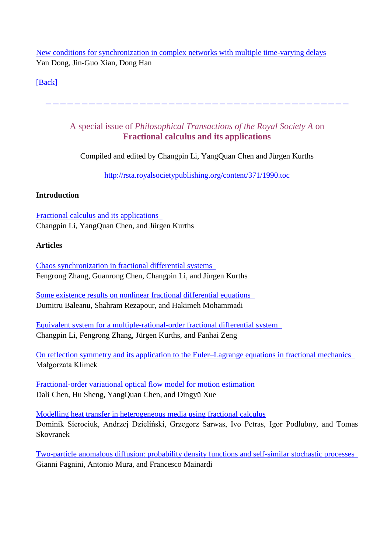[New conditions for synchronization in complex networks with multiple time-varying delays](http://www.sciencedirect.com/science/article/pii/S1007570413000324) Yan Dong, Jin-Guo Xian, Dong Han

[\[Back\]](file:///C:/Users/SHUAI/AppData/Local/Microsoft/Windows/Temporary%20Internet%20Files/FrontPageTempDir/pvw5.htm%231)

A special issue of *Philosophical Transactions of the Royal Society A* on **Fractional calculus and its applications**

------------------------------------------

Compiled and edited by Changpin Li, YangQuan Chen and Jürgen Kurths

<http://rsta.royalsocietypublishing.org/content/371/1990.toc>

### **Introduction**

[Fractional calculus and its applications](http://rsta.royalsocietypublishing.org/content/371/1990/20130037.full)  Changpin Li, YangQuan Chen, and Jürgen Kurths

### **Articles**

[Chaos synchronization in fractional differential systems](http://rsta.royalsocietypublishing.org/content/371/1990/20120155.full)  Fengrong Zhang, Guanrong Chen, Changpin Li, and Jürgen Kurths

[Some existence results on nonlinear fractional differential equations](http://rsta.royalsocietypublishing.org/content/371/1990/20120144.full)  Dumitru Baleanu, Shahram Rezapour, and Hakimeh Mohammadi

[Equivalent system for a multiple-rational-order fractional differential system](http://rsta.royalsocietypublishing.org/content/371/1990/20120156.full)  Changpin Li, Fengrong Zhang, Jürgen Kurths, and Fanhai Zeng

[On reflection symmetry and its application to the Euler–Lagrange equations in fractional mechanics](http://rsta.royalsocietypublishing.org/content/371/1990/20120145.full)  Małgorzata Klimek

[Fractional-order variational optical flow model for motion estimation](http://rsta.royalsocietypublishing.org/content/371/1990/20120148.full) Dali Chen, Hu Sheng, YangQuan Chen, and Dingyü Xue

[Modelling heat transfer in heterogeneous media using fractional calculus](http://rsta.royalsocietypublishing.org/content/371/1990/20120146.full) Dominik Sierociuk, Andrzej Dzieliński, Grzegorz Sarwas, Ivo Petras, Igor Podlubny, and Tomas Skovranek

[Two-particle anomalous diffusion: probability density functions and self-similar stochastic processes](http://rsta.royalsocietypublishing.org/content/371/1990/20120154.full)  Gianni Pagnini, Antonio Mura, and Francesco Mainardi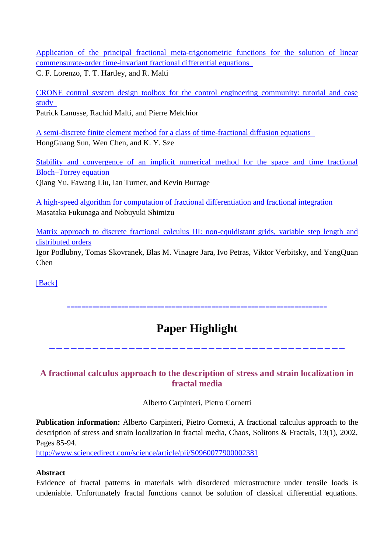[Application of the principal fractional meta-trigonometric functions for the solution of linear](http://rsta.royalsocietypublishing.org/content/371/1990/20120151.full)  [commensurate-order time-invariant fractional differential equations](http://rsta.royalsocietypublishing.org/content/371/1990/20120151.full) 

C. F. Lorenzo, T. T. Hartley, and R. Malti

[CRONE control system design toolbox for the control engineering community: tutorial and case](http://rsta.royalsocietypublishing.org/content/371/1990/20120149.full)  [study](http://rsta.royalsocietypublishing.org/content/371/1990/20120149.full) 

Patrick Lanusse, Rachid Malti, and Pierre Melchior

[A semi-discrete finite element method for a class of time-fractional diffusion equations](http://rsta.royalsocietypublishing.org/content/371/1990/20120268.full)  HongGuang Sun, Wen Chen, and K. Y. Sze

[Stability and convergence of an implicit numerical method for the space and time fractional](http://rsta.royalsocietypublishing.org/content/371/1990/20120150.full)  [Bloch–Torrey equation](http://rsta.royalsocietypublishing.org/content/371/1990/20120150.full) Qiang Yu, Fawang Liu, Ian Turner, and Kevin Burrage

[A high-speed algorithm for computation of fractional differentiation and fractional integration](http://rsta.royalsocietypublishing.org/content/371/1990/20120152.full)  Masataka Fukunaga and Nobuyuki Shimizu

[Matrix approach to discrete fractional calculus III: non-equidistant grids, variable step length and](http://rsta.royalsocietypublishing.org/content/371/1990/20120153.full)  [distributed orders](http://rsta.royalsocietypublishing.org/content/371/1990/20120153.full)

Igor Podlubny, Tomas Skovranek, Blas M. Vinagre Jara, Ivo Petras, Viktor Verbitsky, and YangQuan Chen

[\[Back\]](file:///C:/Users/SHUAI/AppData/Local/Microsoft/Windows/Temporary%20Internet%20Files/FrontPageTempDir/pvw3.htm%231)

========================================================================

# **Paper Highlight**

-----------------------------------------

## **A fractional calculus approach to the description of stress and strain localization in fractal media**

Alberto Carpinteri, Pietro Cornetti

**Publication information:** Alberto Carpinteri, Pietro Cornetti, A fractional calculus approach to the description of stress and strain localization in fractal media, Chaos, Solitons & Fractals, 13(1), 2002, Pages 85-94.

<http://www.sciencedirect.com/science/article/pii/S0960077900002381>

### **Abstract**

Evidence of fractal patterns in materials with disordered microstructure under tensile loads is undeniable. Unfortunately fractal functions cannot be solution of classical differential equations.